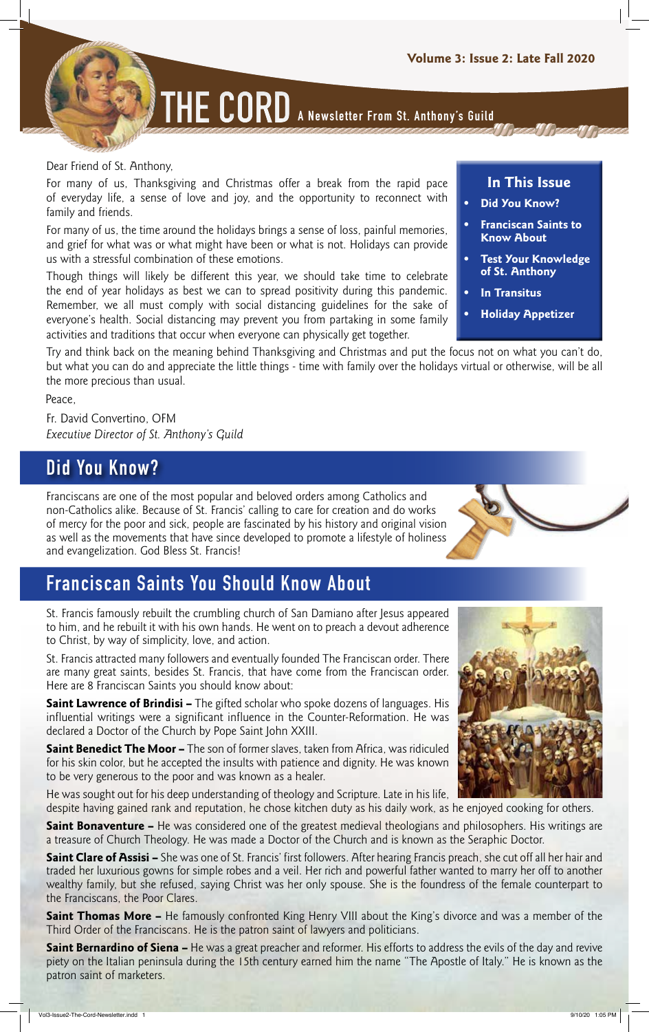**THE CORD A Newsletter From St. Anthony's Guild**

#### Dear Friend of St. Anthony,

For many of us, Thanksgiving and Christmas offer a break from the rapid pace of everyday life, a sense of love and joy, and the opportunity to reconnect with family and friends.

For many of us, the time around the holidays brings a sense of loss, painful memories, and grief for what was or what might have been or what is not. Holidays can provide us with a stressful combination of these emotions.

Though things will likely be different this year, we should take time to celebrate the end of year holidays as best we can to spread positivity during this pandemic. Remember, we all must comply with social distancing guidelines for the sake of everyone's health. Social distancing may prevent you from partaking in some family activities and traditions that occur when everyone can physically get together.

#### Try and think back on the meaning behind Thanksgiving and Christmas and put the focus not on what you can't do, but what you can do and appreciate the little things - time with family over the holidays virtual or otherwise, will be all the more precious than usual.

Peace,

Fr. David Convertino, OFM *Executive Director of St. Anthony's Guild*

## **Did You Know?**

Franciscans are one of the most popular and beloved orders among Catholics and non-Catholics alike. Because of St. Francis' calling to care for creation and do works of mercy for the poor and sick, people are fascinated by his history and original vision as well as the movements that have since developed to promote a lifestyle of holiness and evangelization. God Bless St. Francis!

# **Franciscan Saints You Should Know About**

St. Francis famously rebuilt the crumbling church of San Damiano after Jesus appeared to him, and he rebuilt it with his own hands. He went on to preach a devout adherence to Christ, by way of simplicity, love, and action.

St. Francis attracted many followers and eventually founded The Franciscan order. There are many great saints, besides St. Francis, that have come from the Franciscan order. Here are 8 Franciscan Saints you should know about:

**Saint Lawrence of Brindisi –** The gifted scholar who spoke dozens of languages. His influential writings were a significant influence in the Counter-Reformation. He was declared a Doctor of the Church by Pope Saint John XXIII.

**Saint Benedict The Moor –** The son of former slaves, taken from Africa, was ridiculed for his skin color, but he accepted the insults with patience and dignity. He was known to be very generous to the poor and was known as a healer.

He was sought out for his deep understanding of theology and Scripture. Late in his life, despite having gained rank and reputation, he chose kitchen duty as his daily work, as he enjoyed cooking for others.

**Saint Bonaventure –** He was considered one of the greatest medieval theologians and philosophers. His writings are a treasure of Church Theology. He was made a Doctor of the Church and is known as the Seraphic Doctor.

**Saint Clare of Assisi –** She was one of St. Francis' first followers. After hearing Francis preach, she cut off all her hair and traded her luxurious gowns for simple robes and a veil. Her rich and powerful father wanted to marry her off to another wealthy family, but she refused, saying Christ was her only spouse. She is the foundress of the female counterpart to the Franciscans, the Poor Clares.

**Saint Thomas More –** He famously confronted King Henry VIII about the King's divorce and was a member of the Third Order of the Franciscans. He is the patron saint of lawyers and politicians.

**Saint Bernardino of Siena –** He was a great preacher and reformer. His efforts to address the evils of the day and revive piety on the Italian peninsula during the 15th century earned him the name "The Apostle of Italy." He is known as the patron saint of marketers.





#### **In This Issue**

- **• Did You Know?**
- **• Franciscan Saints to Know About**
- **• Test Your Knowledge of St. Anthony**
- **• In Transitus**
- **• Holiday Appetizer**